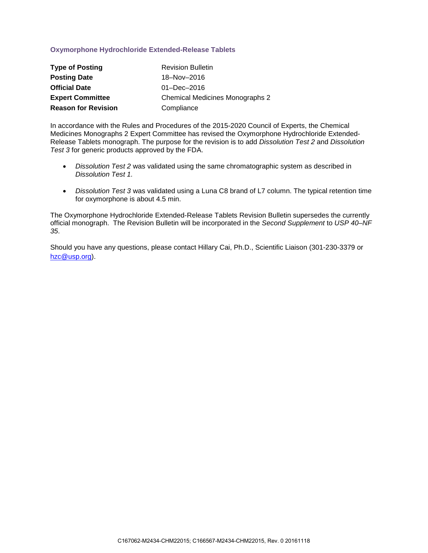## **Oxymorphone Hydrochloride Extended-Release Tablets**

| <b>Type of Posting</b>     | <b>Revision Bulletin</b>        |
|----------------------------|---------------------------------|
| <b>Posting Date</b>        | 18-Nov-2016                     |
| <b>Official Date</b>       | $01 - Dec - 2016$               |
| <b>Expert Committee</b>    | Chemical Medicines Monographs 2 |
| <b>Reason for Revision</b> | Compliance                      |

In accordance with the Rules and Procedures of the 2015-2020 Council of Experts, the Chemical Medicines Monographs 2 Expert Committee has revised the Oxymorphone Hydrochloride Extended-Release Tablets monograph. The purpose for the revision is to add *Dissolution Test 2* and *Dissolution Test 3* for generic products approved by the FDA.

- *Dissolution Test 2* was validated using the same chromatographic system as described in *Dissolution Test 1.*
- *Dissolution Test 3* was validated using a Luna C8 brand of L7 column. The typical retention time for oxymorphone is about 4.5 min.

The Oxymorphone Hydrochloride Extended-Release Tablets Revision Bulletin supersedes the currently official monograph. The Revision Bulletin will be incorporated in the *Second Supplement* to *USP 40–NF 35*.

Should you have any questions, please contact Hillary Cai, Ph.D., Scientific Liaison (301-230-3379 or [hzc@usp.org\)](mailto:hzc@usp.org).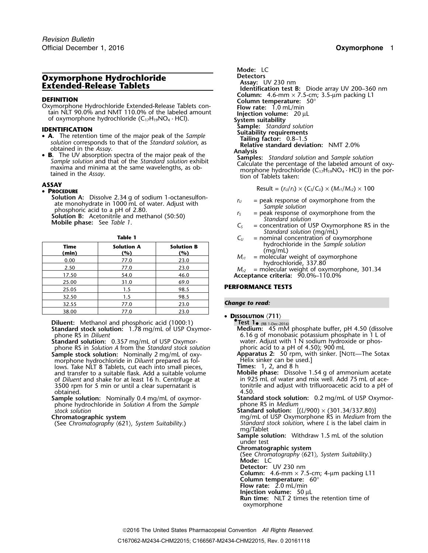# **Oxymorphone Hydrochloride Detectors**<br> **Detectors Assay:** UV 230 nm<br> **Extended-Release Tablets Detection that Extended**

**DEFINITION**<br>
Oxymorphone Hydrochloride Extended-Release Tablets con-<br>
tain NLT 90.0% and NMT 110.0% of the labeled amount<br>
of oxymorphone hydrochloride (C<sub>17</sub>H<sub>19</sub>NO<sub>4</sub> · HCl).<br> **IDENTIFICATION**<br> **IDENTIFICATION**<br> **IDENT** of oxymorphone hydrochloride (C<sub>17</sub>H<sub>19</sub>NO<sub>4</sub> · HCl).

- **SAMPLE STANDINGLE STANDARD FOR THE CATION**<br>
 **A**. The retention time of the major peak of the Sample **Suitability requirements**<br> **Suitability requirements**<br> **Suitability requirements**
- **B.** The UV absorption spectra of the major peak of the samples: Standard solution and Sample solution and that of the Standard solution exhibit Samples: Standard solution and Sample solution and that of the Standard so

### **PROCEDURE**

**Solution A:** Dissolve 2.34 g of sodium 1-octanesulfon-<br>
ate monohydrate in 1000 mL of water. Adjust with<br>
phosphoric acid to a pH of 2.80.<br> **Solution B:** Acetonitrile and methanol (50:50)<br> **Solution B:** Acetonitrile and

| iolution |  |
|----------|--|

| Time<br>(min) | <b>Solution A</b><br>(%) | <b>Solution B</b><br>(%) |
|---------------|--------------------------|--------------------------|
| 0.00          | 77.0                     | 23.0                     |
| 2.50          | 77.0                     | 23.0                     |
| 17.50         | 54.0                     | 46.0                     |
| 25.00         | 31.0                     | 69.0                     |
| 25.05         | 1.5                      | 98.5                     |
| 32.50         | 1.5                      | 98.5                     |
| 32.55         | 77.0                     | 23.0                     |
| 38.00         | 77.0                     | 23.0                     |

**Diluent:** Methanol and phosphoric acid (1000:1)<br>**Standard stock solution:** 1.78 mg/mL of USP Oxymor-

**Standard solution:** 0.357 mg/mL of USP Oxymor-<br>phone RS in Solution A from the Standard stock solution phoric acid to a pH of 4.50); 900 mL phone RS in *Solution A* from the *Standard stock solution*<br>**Sample stock solution:** Nominally 2 mg/mL of 0xymorphone hydrochloride in *Diluent* prepared as fol-<br>lows. Take NLT 8 Tablets, cut each into small pieces. **Times:** 1, 2, and 8 h and transfer to a suitable flask. Add a suitable volume **Mobile phase:** Dissolve 1.54 g of ammonium acetate 3500 rpm for 5 min or until a clear supernatant is tonitrile botained. 4.50. obtained. 4.50.

phone hydrochloride in *Solution A* from the *Sample* stock solution

**Mode:** LC **Assay:** UV 200–360 nm<br> **Column:** 4.6-mm × 7.5-cm; 3.5-µm packing L1 solution corresponds to that of the *Standard solution*, as<br>
obtained in the *Assay*.<br> **B.** The UV absorption spectra of the major peak of the **Analysis**<br> **Analysis Samples:** Standard solution and Sample solution<br>
Sample

**ASSAY**<br>
Result =  $(r_U/r_S) \times (C_S/C_U) \times (M_{r1}/M_{r2}) \times 100$ 

- 
- 
- *Standard solution* (mg/mL)
- **Table 1**  $C_U$  = nominal concentration of oxymorphone<br> **Puttion A C** solution **R C** in the *Sample solution* 
	- $M_{r1}$  = molecular weight of oxymorphone<br>hydrochloride, 337.80<br> $M_{r2}$  = molecular weight of oxymorphone, 301.34

17.50 54.0 46.0 **Acceptance criteria:** 90.0%–110.0%

### **PERFORMANCE TESTS**

### **Change to read:**

# • **DISSOLUTION** 〈**711**〉 **Siluent:** Methanol and phosphoric acid (1000:1)<br> **Standard stock solution:** 1.78 mg/mL of USP Oxymor-<br> **Medium:** 45 mM phosphate buffer, pH 4.50 (dissolve<br>
6.16 g of monobasic potassium phosphate in 1 L of 6.16 g of monobasic potassium phosphate in 1 L of water. Adjust with 1 N sodium hydroxide or phos-**Apparatus 2:** 50 rpm, with sinker. [NOTE—The Sotax<br>Helix sinker can be used.] lows. Take NLT 8 Tablets, cut each into small pieces, **Times:** 1, 2, and 8 h of *Diluent* and shake for at least 16 h. Centrifuge at in 925 mL of water and mix well. Add 75 mL of ace-<br>3500 rpm for 5 min or until a clear supernatant is tonitrile and adjust with trifluoroacetic acid to a pH of **Sample solution:** Nominally 0.4 mg/mL of oxymor- **Standard stock solution:** 0.2 mg/mL of USP Oxymor*stock solution* **Standard solution:** [(*L*/900) × (301.34/337.80)] **Chromatographic system**<br>(See Chromatography (621), System Suitability.) Standard stock solution, where L is the label claim in Standard stock solution, where *L* is the label claim in mg/Tablet **Sample solution:** Withdraw 1.5 mL of the solution under test **Chromatographic system** (See *Chromatography* 〈621〉*, System Suitability*.) **Mode:** LC **Detector:** UV 230 nm **Column:** 4.6-mm  $\times$  7.5-cm; 4-µm packing L11 **Column temperature:** 60° **Flow rate:** 2.0 mL/min **Injection volume:** 50 µL **Run time:** NLT 2 times the retention time of oxymorphone

2016 The United States Pharmacopeial Convention *All Rights Reserved.*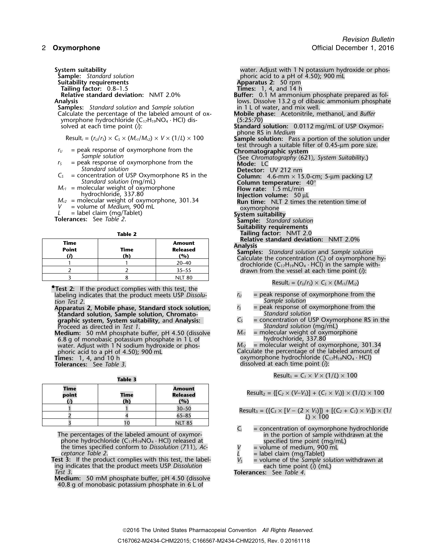- **Suitability requirements**<br> **Tailing factor:** 0.8–1.5 **Apparatus 2:** 50 rpm<br> **Times:** 1, 4, and 14 h **Tailing factor:** 0.8–1.5 **Times:** 1, 4, and 14 h
- 

**Samples:** *Standard solution* and *Sample solution* in 1 L of water, and mix well.<br>Calculate the percentage of the labeled amount of ox-<br>**Mobile phase:** Acetonitrile, methanol, and *Buffer* Calculate the percentage of the labeled amount of ox-**Mobile phase**<br>ymorphone hydrochloride (C<sub>12</sub>H<sub>19</sub>NO<sub>4</sub> · HCl) dis-*Bufferrile, methanol* 

ymorphone hydrochloride (C<sub>17</sub>H<sub>19</sub>NO<sub>4</sub> · HCl) dis-<br>solved at each time point (i):

- 
- = peak response of oxymorphone from the *Standard solution*
- -
- 
- 
- 

| Time<br><b>Point</b> | Time<br>(h) | <b>Amount</b><br><b>Released</b><br>(%) |
|----------------------|-------------|-----------------------------------------|
|                      |             | $20 - 40$                               |
|                      |             | $35 - 55$                               |
|                      |             | <b>NLT 80</b>                           |

**P** Test 2: If the product complies with this test, the **example 1** Result<sub>*i*</sub> =  $(r_u/r_s) \times C_s \times (M_{r1}/M_{r2})$ labeling indicates that the product meets USP *Dissolu- r<sub>U</sub>* = peak response of oxymorphone from the *tion Test 2*. *tion Test 2*. *Sample solution*

**Apparatus 2, Mobile phase, Standard stock solution,** *<sup>r</sup><sup>S</sup>* = peak response of oxymorphone from the **Standard solution, Sample solution, Chromato-**<br> **Standard solution**<br> **G** = concentration of USP Oxymorphone RS in the **graphic system, System suitability,** and **Analysis:** *<sup>C</sup><sup>S</sup>* = concentration of USP Oxymorphone RS in the Proceed as directed in *Test 1*. *Standard solution* (mg/mL)

**Medium:** 50 mM phosphate buffer, pH 4.50 (dissolve *M<sub>r1</sub>* = molecular weight of oxymorphone 6.8 g of monobasic potassium phosphate in 1 L of water. Adjust with 1 N sodium hydroxide or phos-<br> *M<sub>r2</sub>* = molecular weight o 6.8 g of monobasic potassium phosphate in 1 L of hydrochloride, 337.80 water. Adjust with 1 N sodium hydroxide or phos- *<sup>M</sup>r2* = molecular weight of oxymorphone, 301.34 phoric acid to a pH of 4.50); 900 mL<br> **Times:** 1, 4, and 10 h<br> **Times:** 1, 4, and 10 h<br> **Tolerances:** See *Table* 3.<br> **Tolerances:** See *Table* 3.

| Time<br>point | Time<br>(h) | <b>Amount</b><br><b>Released</b><br>(%) | Result <sub>2</sub> = { $[C_2 \times (V-V_5)] + (C_1)$        |
|---------------|-------------|-----------------------------------------|---------------------------------------------------------------|
|               |             | $30 - 50$                               | Result <sub>3</sub> = $({C_3} \times [V - (2 \times V_5)])$ + |
|               |             | $65 - 85$                               | L) $\times$ 100                                               |
|               |             | <b>NLT 85</b>                           |                                                               |

phone hydrochloride (C<sub>17</sub>H<sub>19</sub>NO<sub>4</sub> · HCl) released at specified time point (mg/mL)<br>the times specified conform to *Dissolution*  $\langle 711 \rangle$ , *Ac*-<br>*V* = volume of medium, 900 mL<br>abel claim (mg/Tablet)

**Test 3:** If the product complies with this test, the label-<br>ing indicates that the product meets USP *Dissolution*<br>each time point (i) (mL) ing indicates that the product meets USP *Dissolution* each time point (*i*) (mL) *Test 3*. **Tolerances:** See *Table 4*.

**Medium:** 50 mM phosphate buffer, pH 4.50 (dissolve 40.8 g of monobasic potassium phosphate in 6 L of

**System suitability** water. Adjust with 1 N potassium hydroxide or phos-**Sample:** *Standard solution* phoric acid to a pH of 4.50); 900 mL **Relative standard deviation: NMT 2.0% Buffer:** 0.1 M ammonium phosphate prepared as fol-Analysis<br>**Samples:** Standard solution and Sample solution **now soluty in 1 L** of water, and mix well. Standard solution: 0.0112 mg/mL of USP Oxymorphone RS in *Medium* Result<sub>i</sub> =  $(r_U/r_S) \times C_S \times (M_{ri}/M_{r2}) \times V \times (1/L) \times 100$  Sample solution: Pass a portion of the solution under test through a suitable filter of 0.45-µm pore size. *r*<sub>*U*</sub> = peak response of oxymorphone from the **Chromatographic system** *Sample solution* (See *Chromatography* (621)*, System Suitability*.)<br> *r*<sub>S</sub> = peak response of oxymorphone from the **Mode:** LC Standard solution<br>
= concentration of USP Oxymorphone RS in the<br> **Detector:** UV 212 nm<br> **Column:** 4.6-mm × 15.0-cm; 5-µm packing L7  $C_5$  = concentration of USP Oxymorphone RS in the<br>
Standard solution (mg/mL)<br>  $M_{r1}$  = molecular weight of oxymorphone<br>
hydrochloride, 337.80<br>  $M_{r2}$  = molecular weight of oxymorphone, 301.34<br>  $M_{r2}$  = molecular weigh *M*<sub>r2</sub> = molecular weight of oxymorphone, 301.34 **Run time:** NLT 2 times the retention time of *V* = volume of *Medium*, 900 mL *V* = volume of *Medium*, 900 mL<br> *L* = label claim (mg/Tablet) **System suitability**<br> **Tolerances:** See *Table 2*. **Sample:** *Standard solution* **Sample:** *Standard solution* **Suitability requirements Table 2 Tailing factor:** NMT 2.0<br>**Relative standard deviation:** NMT 2.0%

**Analysis**<br>**Samples:** *Standard solution* and *Sample solution*<br>Calculate the concentration (C<sub>i</sub>) of oxymorphone hy-<br>drochloride (C<sub>17</sub>H<sub>19</sub>NO<sub>4</sub> · HCl) in the sample withdrawn from the vessel at each time point (*i*):

$$
Result_i = (r_U/r_S) \times C_S \times (M_{r1}/M_{r2})
$$

- 
- 
- 
- 

oxymorphone hydrochloride (C<sub>17</sub>H<sub>19</sub>NO<sub>4</sub> · HCl) dissolved at each time point (i):

**Table 3** Result<sub>1</sub> =  $C_1 \times V \times (1/L) \times 100$ 

 $\text{Result}_2 = \{ [C_2 \times (V - V_S)] + (C_1 \times V_S) \} \times (1/L) \times 100 \}$ 

$$
\frac{1}{2} \qquad \qquad \frac{1}{4} \qquad \qquad \frac{30-50}{65-85} \qquad \qquad \text{Result}_3 = (\{C_3 \times [V - (2 \times V_3)]\} + [(C_2 + C_1) \times V_3]) \times (1/2)
$$

- The percentages of the labeled amount of oxymor-<br>
phone hydrochloride (C<sub>17</sub>H<sub>19</sub>NO<sub>4</sub> · HCl) released at **in the portion of sample withdrawn at the specified time point (mg/mL)** 
	-
	-
	-